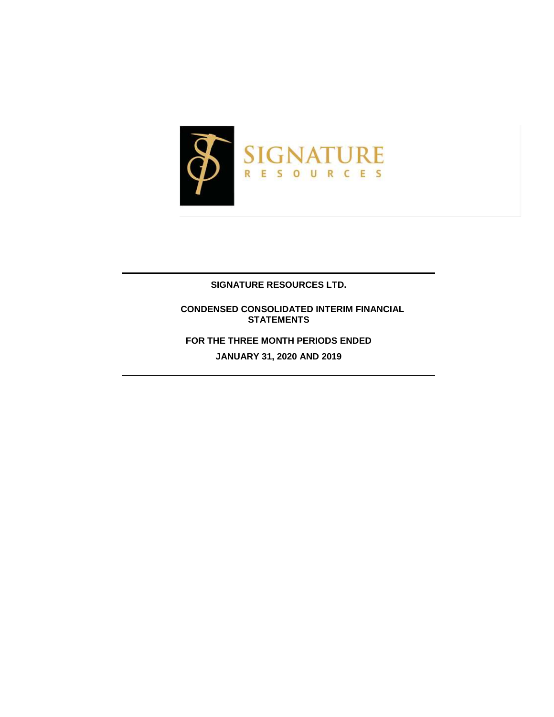

### **SIGNATURE RESOURCES LTD.**

 **CONDENSED CONSOLIDATED INTERIM FINANCIAL STATEMENTS**

**FOR THE THREE MONTH PERIODS ENDED**

**JANUARY 31, 2020 AND 2019**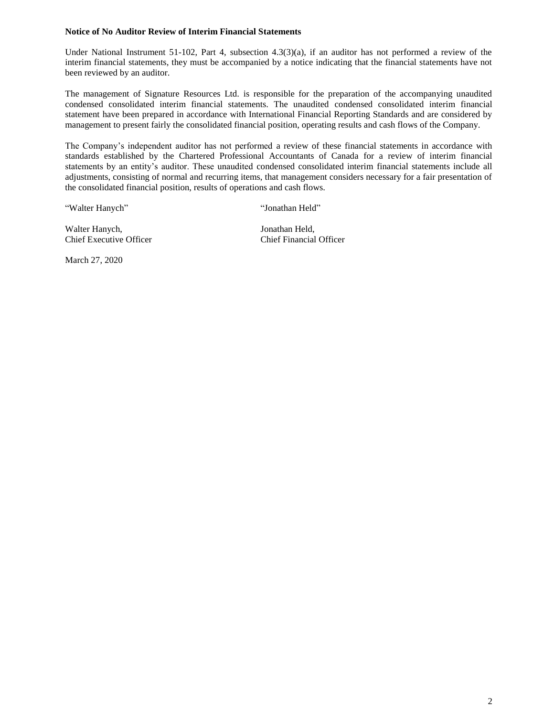### **Notice of No Auditor Review of Interim Financial Statements**

Under National Instrument 51-102, Part 4, subsection 4.3(3)(a), if an auditor has not performed a review of the interim financial statements, they must be accompanied by a notice indicating that the financial statements have not been reviewed by an auditor.

The management of Signature Resources Ltd. is responsible for the preparation of the accompanying unaudited condensed consolidated interim financial statements. The unaudited condensed consolidated interim financial statement have been prepared in accordance with International Financial Reporting Standards and are considered by management to present fairly the consolidated financial position, operating results and cash flows of the Company.

The Company's independent auditor has not performed a review of these financial statements in accordance with standards established by the Chartered Professional Accountants of Canada for a review of interim financial statements by an entity's auditor. These unaudited condensed consolidated interim financial statements include all adjustments, consisting of normal and recurring items, that management considers necessary for a fair presentation of the consolidated financial position, results of operations and cash flows.

"Walter Hanych" "Jonathan Held"

Walter Hanych, Jonathan Held, Chief Executive Officer Chief Financial Officer

March 27, 2020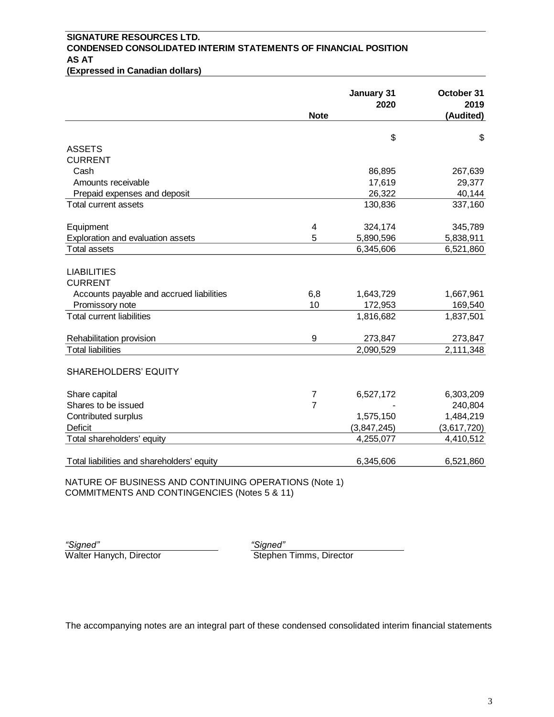# **SIGNATURE RESOURCES LTD. CONDENSED CONSOLIDATED INTERIM STATEMENTS OF FINANCIAL POSITION AS AT**

| (Expressed in Canadian dollars) |
|---------------------------------|
|---------------------------------|

| 2020        | 2019                            |
|-------------|---------------------------------|
|             | (Audited)                       |
| \$          | \$                              |
|             |                                 |
|             |                                 |
| 86,895      | 267,639                         |
| 17,619      | 29,377                          |
| 26,322      | 40,144                          |
| 130,836     | 337,160                         |
| 324,174     | 345,789                         |
| 5,890,596   | 5,838,911                       |
| 6,345,606   | 6,521,860                       |
|             |                                 |
| 1,643,729   | 1,667,961                       |
|             | 169,540                         |
| 1,816,682   | 1,837,501                       |
|             | 273,847                         |
| 2,090,529   | 2,111,348                       |
|             |                                 |
|             | 6,303,209                       |
|             | 240,804                         |
| 1,575,150   | 1,484,219                       |
| (3,847,245) | (3,617,720)                     |
| 4,255,077   | 4,410,512                       |
| 6,345,606   | 6,521,860                       |
|             | 172,953<br>273,847<br>6,527,172 |

NATURE OF BUSINESS AND CONTINUING OPERATIONS (Note 1) COMMITMENTS AND CONTINGENCIES (Notes 5 & 11)

*"Signed" "Signed"* Walter Hanych, Director

The accompanying notes are an integral part of these condensed consolidated interim financial statements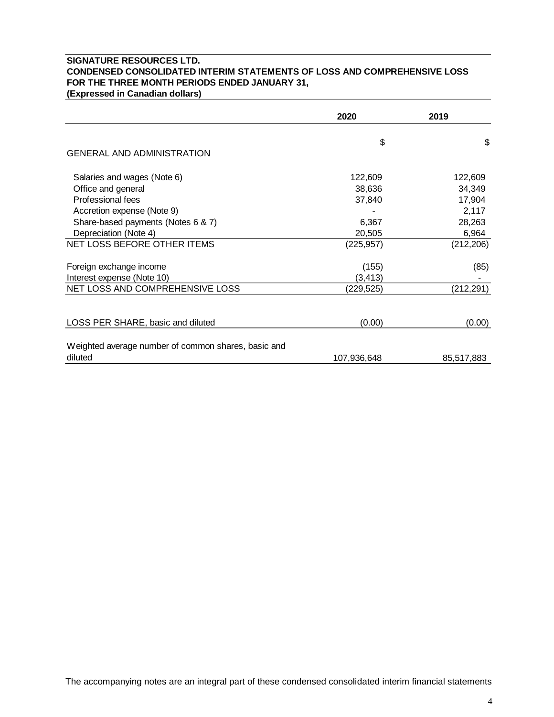# **SIGNATURE RESOURCES LTD. CONDENSED CONSOLIDATED INTERIM STATEMENTS OF LOSS AND COMPREHENSIVE LOSS FOR THE THREE MONTH PERIODS ENDED JANUARY 31,**

**(Expressed in Canadian dollars)**

|                                                     | 2020        | 2019       |
|-----------------------------------------------------|-------------|------------|
|                                                     | \$          | \$         |
| <b>GENERAL AND ADMINISTRATION</b>                   |             |            |
| Salaries and wages (Note 6)                         | 122,609     | 122,609    |
| Office and general                                  | 38,636      | 34,349     |
| Professional fees                                   | 37,840      | 17,904     |
| Accretion expense (Note 9)                          |             | 2,117      |
| Share-based payments (Notes 6 & 7)                  | 6,367       | 28,263     |
| Depreciation (Note 4)                               | 20,505      | 6,964      |
| NET LOSS BEFORE OTHER ITEMS                         | (225, 957)  | (212, 206) |
| Foreign exchange income                             | (155)       | (85)       |
| Interest expense (Note 10)                          | (3, 413)    |            |
| NET LOSS AND COMPREHENSIVE LOSS                     | (229,525)   | (212, 291) |
| LOSS PER SHARE, basic and diluted                   | (0.00)      | (0.00)     |
| Weighted average number of common shares, basic and |             |            |
| diluted                                             | 107,936,648 | 85,517,883 |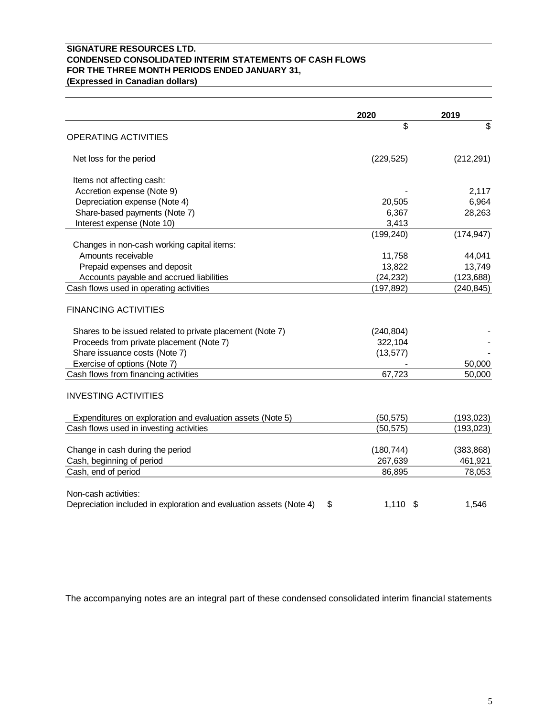# **SIGNATURE RESOURCES LTD. CONDENSED CONSOLIDATED INTERIM STATEMENTS OF CASH FLOWS FOR THE THREE MONTH PERIODS ENDED JANUARY 31,**

**(Expressed in Canadian dollars)**

|                                                                           | 2020       | 2019       |
|---------------------------------------------------------------------------|------------|------------|
|                                                                           | \$         | \$         |
| <b>OPERATING ACTIVITIES</b>                                               |            |            |
| Net loss for the period                                                   | (229, 525) | (212, 291) |
| Items not affecting cash:                                                 |            |            |
| Accretion expense (Note 9)                                                |            | 2,117      |
| Depreciation expense (Note 4)                                             | 20,505     | 6,964      |
| Share-based payments (Note 7)                                             | 6,367      | 28,263     |
| Interest expense (Note 10)                                                | 3,413      |            |
|                                                                           | (199, 240) | (174, 947) |
| Changes in non-cash working capital items:                                |            |            |
| Amounts receivable                                                        | 11,758     | 44,041     |
| Prepaid expenses and deposit                                              | 13,822     | 13,749     |
| Accounts payable and accrued liabilities                                  | (24, 232)  | (123, 688) |
| Cash flows used in operating activities                                   | (197, 892) | (240, 845) |
| <b>FINANCING ACTIVITIES</b>                                               |            |            |
| Shares to be issued related to private placement (Note 7)                 | (240, 804) |            |
| Proceeds from private placement (Note 7)                                  | 322,104    |            |
| Share issuance costs (Note 7)                                             | (13, 577)  |            |
| Exercise of options (Note 7)                                              |            | 50,000     |
| Cash flows from financing activities                                      | 67,723     | 50,000     |
| <b>INVESTING ACTIVITIES</b>                                               |            |            |
| Expenditures on exploration and evaluation assets (Note 5)                | (50, 575)  | (193, 023) |
| Cash flows used in investing activities                                   | (50, 575)  | (193, 023) |
|                                                                           |            |            |
| Change in cash during the period                                          | (180, 744) | (383, 868) |
| Cash, beginning of period                                                 | 267,639    | 461,921    |
| Cash, end of period                                                       | 86,895     | 78,053     |
| Non-cash activities:                                                      |            |            |
| Depreciation included in exploration and evaluation assets (Note 4)<br>\$ | $1,110$ \$ | 1,546      |

The accompanying notes are an integral part of these condensed consolidated interim financial statements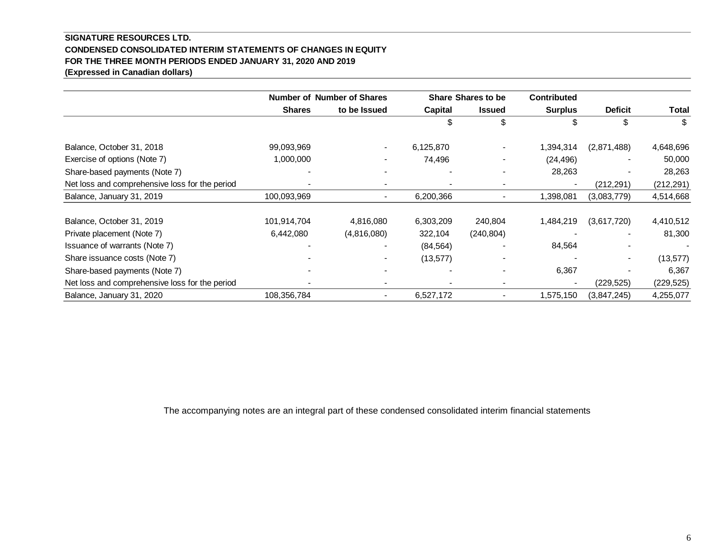### **SIGNATURE RESOURCES LTD. CONDENSED CONSOLIDATED INTERIM STATEMENTS OF CHANGES IN EQUITY FOR THE THREE MONTH PERIODS ENDED JANUARY 31, 2020 AND 2019 (Expressed in Canadian dollars)**

|                                                |               | <b>Number of Number of Shares</b> | <b>Share Shares to be</b> |                          | <b>Contributed</b> |                |            |
|------------------------------------------------|---------------|-----------------------------------|---------------------------|--------------------------|--------------------|----------------|------------|
|                                                | <b>Shares</b> | to be Issued                      | Capital                   | <b>Issued</b>            | <b>Surplus</b>     | <b>Deficit</b> | Total      |
|                                                |               |                                   | \$                        | \$                       |                    | \$             | \$         |
| Balance, October 31, 2018                      | 99,093,969    | $\overline{\phantom{a}}$          | 6,125,870                 |                          | 1,394,314          | (2,871,488)    | 4,648,696  |
| Exercise of options (Note 7)                   | 1,000,000     |                                   | 74,496                    |                          | (24, 496)          |                | 50,000     |
| Share-based payments (Note 7)                  |               |                                   |                           |                          | 28,263             |                | 28,263     |
| Net loss and comprehensive loss for the period |               |                                   |                           |                          | $\blacksquare$     | (212, 291)     | (212, 291) |
| Balance, January 31, 2019                      | 100,093,969   | $\blacksquare$                    | 6,200,366                 |                          | 1,398,081          | (3.083, 779)   | 4,514,668  |
| Balance, October 31, 2019                      | 101,914,704   | 4,816,080                         | 6,303,209                 | 240,804                  | 1,484,219          | (3,617,720)    | 4,410,512  |
| Private placement (Note 7)                     | 6,442,080     | (4,816,080)                       | 322,104                   | (240, 804)               |                    |                | 81,300     |
| Issuance of warrants (Note 7)                  |               |                                   | (84, 564)                 |                          | 84,564             |                |            |
| Share issuance costs (Note 7)                  |               |                                   | (13, 577)                 |                          |                    |                | (13, 577)  |
| Share-based payments (Note 7)                  |               |                                   |                           |                          | 6,367              |                | 6,367      |
| Net loss and comprehensive loss for the period |               | $\qquad \qquad \blacksquare$      | $\blacksquare$            | $\overline{\phantom{0}}$ |                    | (229, 525)     | (229, 525) |
| Balance, January 31, 2020                      | 108,356,784   | $\qquad \qquad \blacksquare$      | 6,527,172                 |                          | 1,575,150          | (3,847,245)    | 4,255,077  |

The accompanying notes are an integral part of these condensed consolidated interim financial statements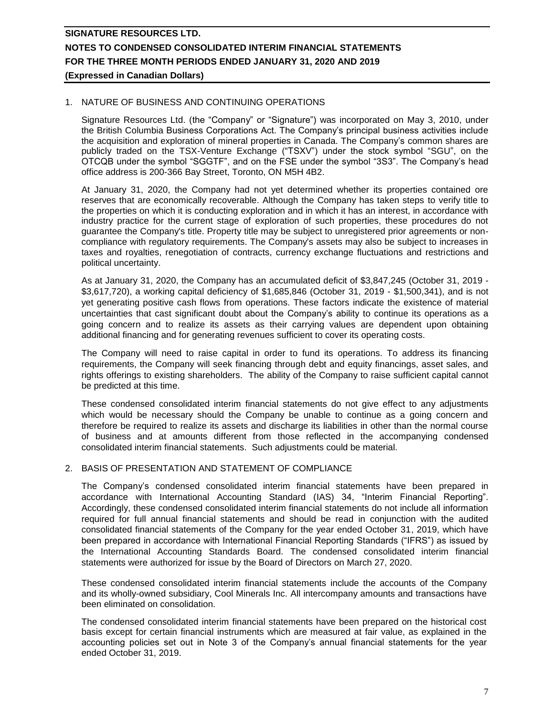### 1. NATURE OF BUSINESS AND CONTINUING OPERATIONS

Signature Resources Ltd. (the "Company" or "Signature") was incorporated on May 3, 2010, under the British Columbia Business Corporations Act. The Company's principal business activities include the acquisition and exploration of mineral properties in Canada. The Company's common shares are publicly traded on the TSX-Venture Exchange ("TSXV") under the stock symbol "SGU", on the OTCQB under the symbol "SGGTF", and on the FSE under the symbol "3S3". The Company's head office address is 200-366 Bay Street, Toronto, ON M5H 4B2.

At January 31, 2020, the Company had not yet determined whether its properties contained ore reserves that are economically recoverable. Although the Company has taken steps to verify title to the properties on which it is conducting exploration and in which it has an interest, in accordance with industry practice for the current stage of exploration of such properties, these procedures do not guarantee the Company's title. Property title may be subject to unregistered prior agreements or noncompliance with regulatory requirements. The Company's assets may also be subject to increases in taxes and royalties, renegotiation of contracts, currency exchange fluctuations and restrictions and political uncertainty.

As at January 31, 2020, the Company has an accumulated deficit of \$3,847,245 (October 31, 2019 - \$3,617,720), a working capital deficiency of \$1,685,846 (October 31, 2019 - \$1,500,341), and is not yet generating positive cash flows from operations. These factors indicate the existence of material uncertainties that cast significant doubt about the Company's ability to continue its operations as a going concern and to realize its assets as their carrying values are dependent upon obtaining additional financing and for generating revenues sufficient to cover its operating costs.

The Company will need to raise capital in order to fund its operations. To address its financing requirements, the Company will seek financing through debt and equity financings, asset sales, and rights offerings to existing shareholders. The ability of the Company to raise sufficient capital cannot be predicted at this time.

These condensed consolidated interim financial statements do not give effect to any adjustments which would be necessary should the Company be unable to continue as a going concern and therefore be required to realize its assets and discharge its liabilities in other than the normal course of business and at amounts different from those reflected in the accompanying condensed consolidated interim financial statements. Such adjustments could be material.

### 2. BASIS OF PRESENTATION AND STATEMENT OF COMPLIANCE

The Company's condensed consolidated interim financial statements have been prepared in accordance with International Accounting Standard (IAS) 34, "Interim Financial Reporting". Accordingly, these condensed consolidated interim financial statements do not include all information required for full annual financial statements and should be read in conjunction with the audited consolidated financial statements of the Company for the year ended October 31, 2019, which have been prepared in accordance with International Financial Reporting Standards ("IFRS") as issued by the International Accounting Standards Board. The condensed consolidated interim financial statements were authorized for issue by the Board of Directors on March 27, 2020.

These condensed consolidated interim financial statements include the accounts of the Company and its wholly-owned subsidiary, Cool Minerals Inc. All intercompany amounts and transactions have been eliminated on consolidation.

The condensed consolidated interim financial statements have been prepared on the historical cost basis except for certain financial instruments which are measured at fair value, as explained in the accounting policies set out in Note 3 of the Company's annual financial statements for the year ended October 31, 2019.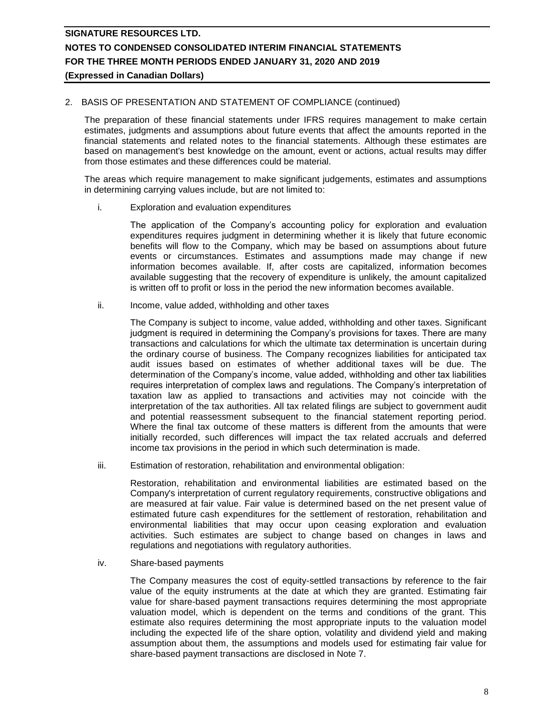### 2. BASIS OF PRESENTATION AND STATEMENT OF COMPLIANCE (continued)

The preparation of these financial statements under IFRS requires management to make certain estimates, judgments and assumptions about future events that affect the amounts reported in the financial statements and related notes to the financial statements. Although these estimates are based on management's best knowledge on the amount, event or actions, actual results may differ from those estimates and these differences could be material.

The areas which require management to make significant judgements, estimates and assumptions in determining carrying values include, but are not limited to:

i. Exploration and evaluation expenditures

The application of the Company's accounting policy for exploration and evaluation expenditures requires judgment in determining whether it is likely that future economic benefits will flow to the Company, which may be based on assumptions about future events or circumstances. Estimates and assumptions made may change if new information becomes available. If, after costs are capitalized, information becomes available suggesting that the recovery of expenditure is unlikely, the amount capitalized is written off to profit or loss in the period the new information becomes available.

ii. Income, value added, withholding and other taxes

The Company is subject to income, value added, withholding and other taxes. Significant judgment is required in determining the Company's provisions for taxes. There are many transactions and calculations for which the ultimate tax determination is uncertain during the ordinary course of business. The Company recognizes liabilities for anticipated tax audit issues based on estimates of whether additional taxes will be due. The determination of the Company's income, value added, withholding and other tax liabilities requires interpretation of complex laws and regulations. The Company's interpretation of taxation law as applied to transactions and activities may not coincide with the interpretation of the tax authorities. All tax related filings are subject to government audit and potential reassessment subsequent to the financial statement reporting period. Where the final tax outcome of these matters is different from the amounts that were initially recorded, such differences will impact the tax related accruals and deferred income tax provisions in the period in which such determination is made.

iii. Estimation of restoration, rehabilitation and environmental obligation:

Restoration, rehabilitation and environmental liabilities are estimated based on the Company's interpretation of current regulatory requirements, constructive obligations and are measured at fair value. Fair value is determined based on the net present value of estimated future cash expenditures for the settlement of restoration, rehabilitation and environmental liabilities that may occur upon ceasing exploration and evaluation activities. Such estimates are subject to change based on changes in laws and regulations and negotiations with regulatory authorities.

iv. Share-based payments

The Company measures the cost of equity-settled transactions by reference to the fair value of the equity instruments at the date at which they are granted. Estimating fair value for share-based payment transactions requires determining the most appropriate valuation model, which is dependent on the terms and conditions of the grant. This estimate also requires determining the most appropriate inputs to the valuation model including the expected life of the share option, volatility and dividend yield and making assumption about them, the assumptions and models used for estimating fair value for share-based payment transactions are disclosed in Note 7.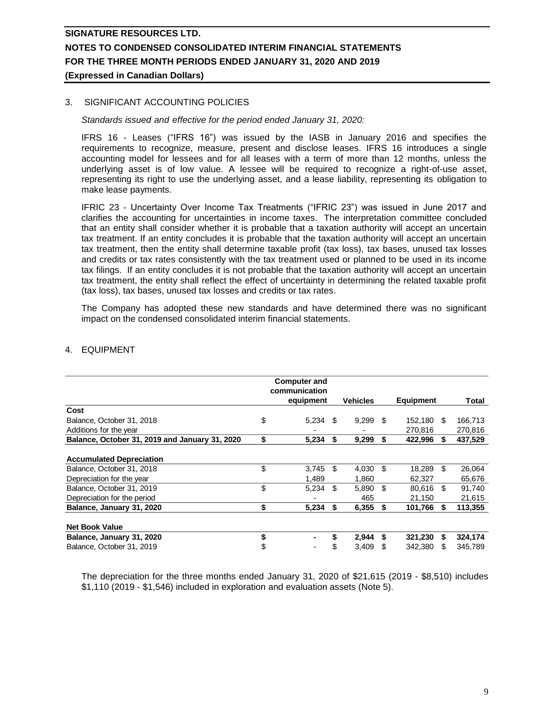### 3. SIGNIFICANT ACCOUNTING POLICIES

*Standards issued and effective for the period ended January 31, 2020:*

IFRS 16 - Leases ("IFRS 16") was issued by the IASB in January 2016 and specifies the requirements to recognize, measure, present and disclose leases. IFRS 16 introduces a single accounting model for lessees and for all leases with a term of more than 12 months, unless the underlying asset is of low value. A lessee will be required to recognize a right-of-use asset, representing its right to use the underlying asset, and a lease liability, representing its obligation to make lease payments.

IFRIC 23 - Uncertainty Over Income Tax Treatments ("IFRIC 23") was issued in June 2017 and clarifies the accounting for uncertainties in income taxes. The interpretation committee concluded that an entity shall consider whether it is probable that a taxation authority will accept an uncertain tax treatment. If an entity concludes it is probable that the taxation authority will accept an uncertain tax treatment, then the entity shall determine taxable profit (tax loss), tax bases, unused tax losses and credits or tax rates consistently with the tax treatment used or planned to be used in its income tax filings. If an entity concludes it is not probable that the taxation authority will accept an uncertain tax treatment, the entity shall reflect the effect of uncertainty in determining the related taxable profit (tax loss), tax bases, unused tax losses and credits or tax rates.

The Company has adopted these new standards and have determined there was no significant impact on the condensed consolidated interim financial statements.

|                                                | <b>Computer and</b><br>communication |     |                 |    |                  |      |         |
|------------------------------------------------|--------------------------------------|-----|-----------------|----|------------------|------|---------|
|                                                | equipment                            |     | <b>Vehicles</b> |    | <b>Equipment</b> |      | Total   |
| Cost                                           |                                      |     |                 |    |                  |      |         |
| Balance, October 31, 2018                      | \$<br>5,234                          | -S  | $9,299$ \$      |    | 152,180          | - \$ | 166,713 |
| Additions for the vear                         |                                      |     |                 |    | 270.816          |      | 270,816 |
| Balance, October 31, 2019 and January 31, 2020 | \$<br>5,234                          | \$  | 9,299           | \$ | 422,996          | S.   | 437,529 |
|                                                |                                      |     |                 |    |                  |      |         |
| <b>Accumulated Depreciation</b>                |                                      |     |                 |    |                  |      |         |
| Balance, October 31, 2018                      | \$<br>3.745                          | \$. | 4,030           | \$ | 18.289           | \$.  | 26,064  |
| Depreciation for the year                      | 1.489                                |     | 1,860           |    | 62,327           |      | 65,676  |
| Balance, October 31, 2019                      | \$<br>5,234                          | \$  | 5,890           | \$ | 80.616           | \$.  | 91,740  |
| Depreciation for the period                    |                                      |     | 465             |    | 21,150           |      | 21,615  |
| Balance, January 31, 2020                      | \$<br>5,234                          | S   | 6,355           | S. | 101,766          | S.   | 113,355 |
|                                                |                                      |     |                 |    |                  |      |         |
| <b>Net Book Value</b>                          |                                      |     |                 |    |                  |      |         |
| Balance, January 31, 2020                      | \$                                   | \$  | 2,944           | S  | 321,230          | S    | 324,174 |
| Balance, October 31, 2019                      | \$                                   | S   | 3,409           | S  | 342,380          |      | 345,789 |

### 4. EQUIPMENT

The depreciation for the three months ended January 31, 2020 of \$21,615 (2019 - \$8,510) includes \$1,110 (2019 - \$1,546) included in exploration and evaluation assets (Note 5).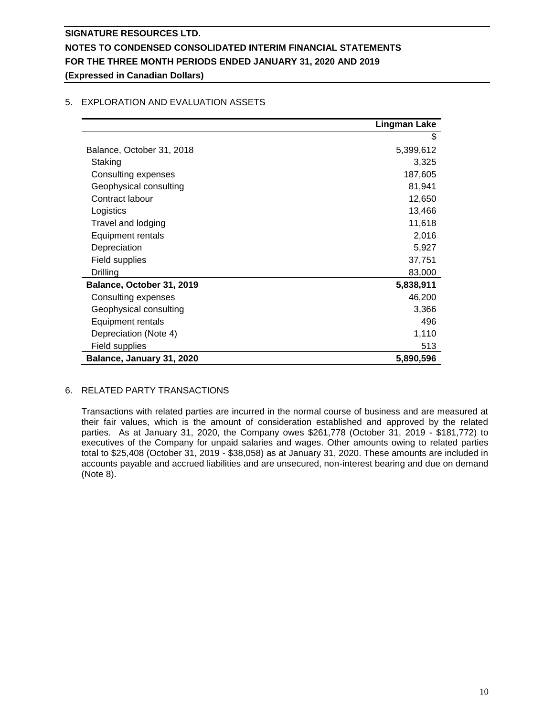# **Lingman Lake** \$ Balance, October 31, 2018 5,399,612 Staking 3,325 Consulting expenses 187,605 Geophysical consulting 81,941 Contract labour 12,650 Logistics 13,466 Travel and lodging 11,618 Equipment rentals 2,016 Depreciation 5,927 Field supplies 37,751 Drilling 83,000 **Balance, October 31, 2019 5,838,911** Consulting expenses 46,200 Geophysical consulting 3,366 Equipment rentals 496 Depreciation (Note 4) 1,110 Field supplies 513 **Balance, January 31, 2020 5,890,596**

# 5. EXPLORATION AND EVALUATION ASSETS

# 6. RELATED PARTY TRANSACTIONS

Transactions with related parties are incurred in the normal course of business and are measured at their fair values, which is the amount of consideration established and approved by the related parties. As at January 31, 2020, the Company owes \$261,778 (October 31, 2019 - \$181,772) to executives of the Company for unpaid salaries and wages. Other amounts owing to related parties total to \$25,408 (October 31, 2019 - \$38,058) as at January 31, 2020. These amounts are included in accounts payable and accrued liabilities and are unsecured, non-interest bearing and due on demand (Note 8).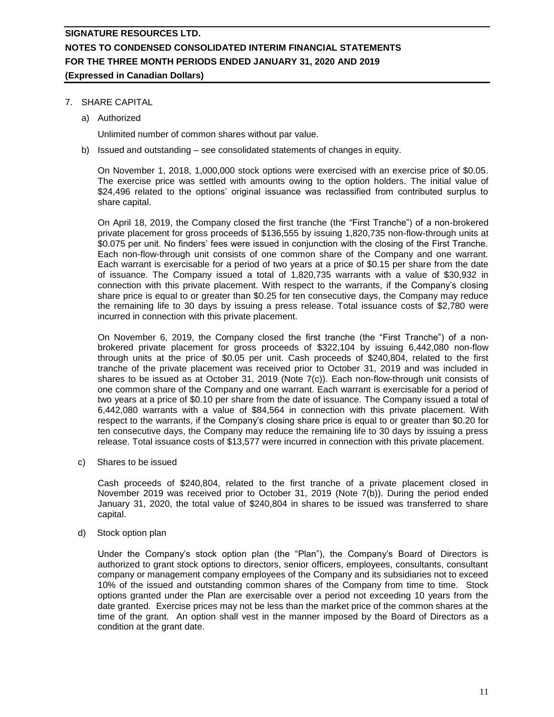### 7. SHARE CAPITAL

a) Authorized

Unlimited number of common shares without par value.

b) Issued and outstanding – see consolidated statements of changes in equity.

On November 1, 2018, 1,000,000 stock options were exercised with an exercise price of \$0.05. The exercise price was settled with amounts owing to the option holders. The initial value of \$24,496 related to the options' original issuance was reclassified from contributed surplus to share capital.

On April 18, 2019, the Company closed the first tranche (the "First Tranche") of a non-brokered private placement for gross proceeds of \$136,555 by issuing 1,820,735 non-flow-through units at \$0.075 per unit. No finders' fees were issued in conjunction with the closing of the First Tranche. Each non-flow-through unit consists of one common share of the Company and one warrant. Each warrant is exercisable for a period of two years at a price of \$0.15 per share from the date of issuance. The Company issued a total of 1,820,735 warrants with a value of \$30,932 in connection with this private placement. With respect to the warrants, if the Company's closing share price is equal to or greater than \$0.25 for ten consecutive days, the Company may reduce the remaining life to 30 days by issuing a press release. Total issuance costs of \$2,780 were incurred in connection with this private placement.

On November 6, 2019, the Company closed the first tranche (the "First Tranche") of a nonbrokered private placement for gross proceeds of \$322,104 by issuing 6,442,080 non-flow through units at the price of \$0.05 per unit. Cash proceeds of \$240,804, related to the first tranche of the private placement was received prior to October 31, 2019 and was included in shares to be issued as at October 31, 2019 (Note 7(c)). Each non-flow-through unit consists of one common share of the Company and one warrant. Each warrant is exercisable for a period of two years at a price of \$0.10 per share from the date of issuance. The Company issued a total of 6,442,080 warrants with a value of \$84,564 in connection with this private placement. With respect to the warrants, if the Company's closing share price is equal to or greater than \$0.20 for ten consecutive days, the Company may reduce the remaining life to 30 days by issuing a press release. Total issuance costs of \$13,577 were incurred in connection with this private placement.

c) Shares to be issued

Cash proceeds of \$240,804, related to the first tranche of a private placement closed in November 2019 was received prior to October 31, 2019 (Note 7(b)). During the period ended January 31, 2020, the total value of \$240,804 in shares to be issued was transferred to share capital.

d) Stock option plan

Under the Company's stock option plan (the "Plan"), the Company's Board of Directors is authorized to grant stock options to directors, senior officers, employees, consultants, consultant company or management company employees of the Company and its subsidiaries not to exceed 10% of the issued and outstanding common shares of the Company from time to time. Stock options granted under the Plan are exercisable over a period not exceeding 10 years from the date granted. Exercise prices may not be less than the market price of the common shares at the time of the grant. An option shall vest in the manner imposed by the Board of Directors as a condition at the grant date.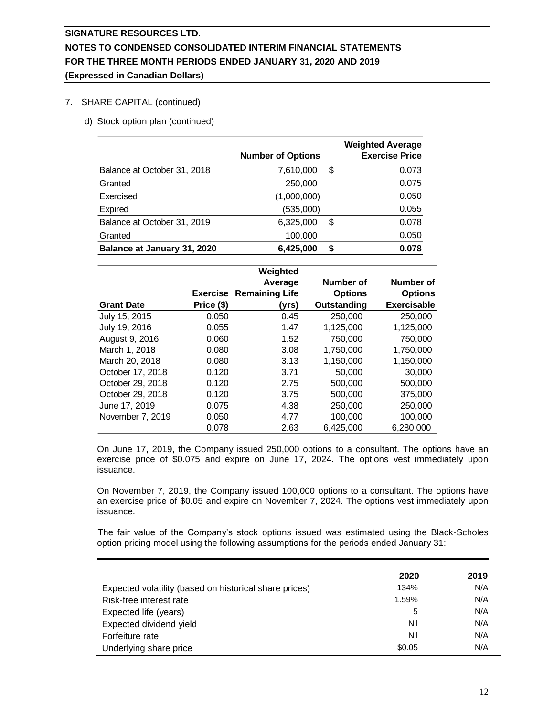### 7. SHARE CAPITAL (continued)

d) Stock option plan (continued)

|                             | <b>Number of Options</b> |    | <b>Weighted Average</b><br><b>Exercise Price</b> |
|-----------------------------|--------------------------|----|--------------------------------------------------|
| Balance at October 31, 2018 | 7,610,000                | \$ | 0.073                                            |
| Granted                     | 250,000                  |    | 0.075                                            |
| Exercised                   | (1,000,000)              |    | 0.050                                            |
| Expired                     | (535,000)                |    | 0.055                                            |
| Balance at October 31, 2019 | 6,325,000                | \$ | 0.078                                            |
| Granted                     | 100,000                  |    | 0.050                                            |
| Balance at January 31, 2020 | 6,425,000                | S  | 0.078                                            |

|                   |            | Weighted                       |                |                    |
|-------------------|------------|--------------------------------|----------------|--------------------|
|                   |            | Average                        | Number of      | Number of          |
|                   |            | <b>Exercise Remaining Life</b> | <b>Options</b> | <b>Options</b>     |
| <b>Grant Date</b> | Price (\$) | (vrs)                          | Outstanding    | <b>Exercisable</b> |
| July 15, 2015     | 0.050      | 0.45                           | 250,000        | 250,000            |
| July 19, 2016     | 0.055      | 1.47                           | 1,125,000      | 1,125,000          |
| August 9, 2016    | 0.060      | 1.52                           | 750,000        | 750,000            |
| March 1, 2018     | 0.080      | 3.08                           | 1,750,000      | 1,750,000          |
| March 20, 2018    | 0.080      | 3.13                           | 1,150,000      | 1,150,000          |
| October 17, 2018  | 0.120      | 3.71                           | 50,000         | 30,000             |
| October 29, 2018  | 0.120      | 2.75                           | 500,000        | 500,000            |
| October 29, 2018  | 0.120      | 3.75                           | 500,000        | 375,000            |
| June 17, 2019     | 0.075      | 4.38                           | 250,000        | 250,000            |
| November 7, 2019  | 0.050      | 4.77                           | 100,000        | 100,000            |
|                   | 0.078      | 2.63                           | 6,425,000      | 6,280,000          |

On June 17, 2019, the Company issued 250,000 options to a consultant. The options have an exercise price of \$0.075 and expire on June 17, 2024. The options vest immediately upon issuance.

On November 7, 2019, the Company issued 100,000 options to a consultant. The options have an exercise price of \$0.05 and expire on November 7, 2024. The options vest immediately upon issuance.

The fair value of the Company's stock options issued was estimated using the Black-Scholes option pricing model using the following assumptions for the periods ended January 31:

|                                                        | 2020   | 2019 |
|--------------------------------------------------------|--------|------|
| Expected volatility (based on historical share prices) | 134%   | N/A  |
| Risk-free interest rate                                | 1.59%  | N/A  |
| Expected life (years)                                  | 5      | N/A  |
| Expected dividend yield                                | Nil    | N/A  |
| Forfeiture rate                                        | Nil    | N/A  |
| Underlying share price                                 | \$0.05 | N/A  |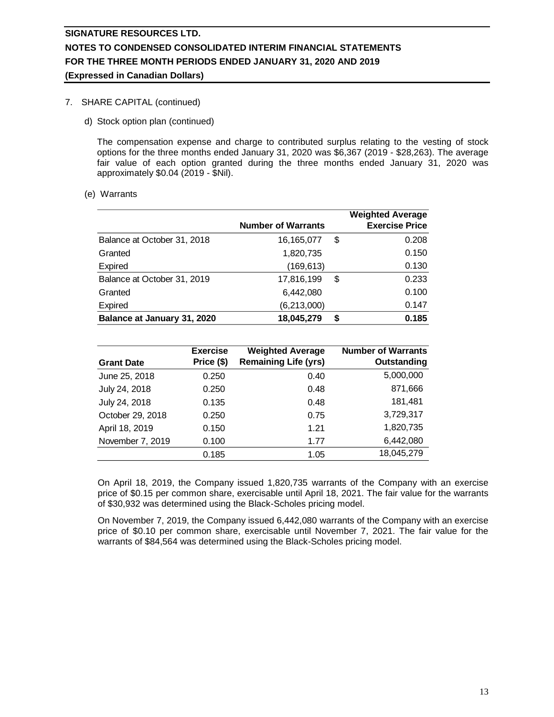# 7. SHARE CAPITAL (continued)

d) Stock option plan (continued)

The compensation expense and charge to contributed surplus relating to the vesting of stock options for the three months ended January 31, 2020 was \$6,367 (2019 - \$28,263). The average fair value of each option granted during the three months ended January 31, 2020 was approximately \$0.04 (2019 - \$Nil).

(e) Warrants

|                             |                           |    | <b>Weighted Average</b> |
|-----------------------------|---------------------------|----|-------------------------|
|                             | <b>Number of Warrants</b> |    | <b>Exercise Price</b>   |
| Balance at October 31, 2018 | 16,165,077                | \$ | 0.208                   |
| Granted                     | 1,820,735                 |    | 0.150                   |
| Expired                     | (169, 613)                |    | 0.130                   |
| Balance at October 31, 2019 | 17,816,199                | \$ | 0.233                   |
| Granted                     | 6,442,080                 |    | 0.100                   |
| Expired                     | (6,213,000)               |    | 0.147                   |
| Balance at January 31, 2020 | 18,045,279                | S  | 0.185                   |

| <b>Grant Date</b> | <b>Exercise</b><br>Price (\$) | <b>Weighted Average</b><br><b>Remaining Life (yrs)</b> | <b>Number of Warrants</b><br>Outstanding |
|-------------------|-------------------------------|--------------------------------------------------------|------------------------------------------|
| June 25, 2018     | 0.250                         | 0.40                                                   | 5,000,000                                |
| July 24, 2018     | 0.250                         | 0.48                                                   | 871,666                                  |
| July 24, 2018     | 0.135                         | 0.48                                                   | 181,481                                  |
| October 29, 2018  | 0.250                         | 0.75                                                   | 3,729,317                                |
| April 18, 2019    | 0.150                         | 1.21                                                   | 1,820,735                                |
| November 7, 2019  | 0.100                         | 1.77                                                   | 6,442,080                                |
|                   | 0.185                         | 1.05                                                   | 18,045,279                               |

On April 18, 2019, the Company issued 1,820,735 warrants of the Company with an exercise price of \$0.15 per common share, exercisable until April 18, 2021. The fair value for the warrants of \$30,932 was determined using the Black-Scholes pricing model.

On November 7, 2019, the Company issued 6,442,080 warrants of the Company with an exercise price of \$0.10 per common share, exercisable until November 7, 2021. The fair value for the warrants of \$84,564 was determined using the Black-Scholes pricing model.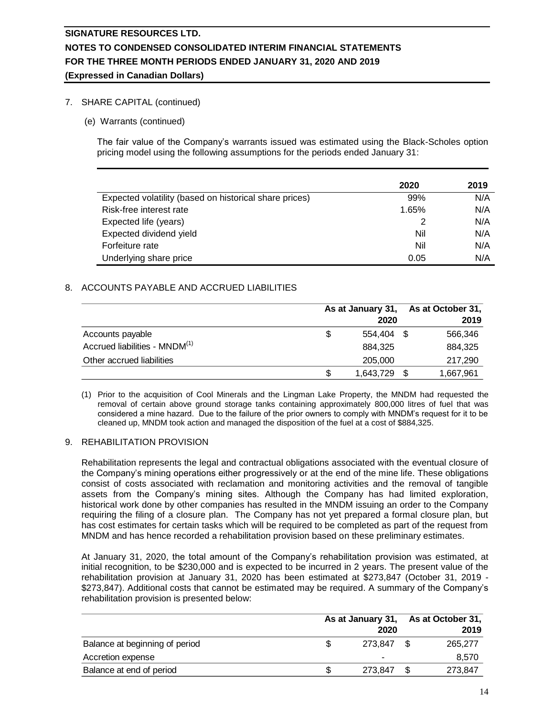### 7. SHARE CAPITAL (continued)

(e) Warrants (continued)

The fair value of the Company's warrants issued was estimated using the Black-Scholes option pricing model using the following assumptions for the periods ended January 31:

|                                                        | 2020  | 2019 |
|--------------------------------------------------------|-------|------|
| Expected volatility (based on historical share prices) | 99%   | N/A  |
| Risk-free interest rate                                | 1.65% | N/A  |
| Expected life (years)                                  |       | N/A  |
| Expected dividend yield                                | Nil   | N/A  |
| Forfeiture rate                                        | Nil   | N/A  |
| Underlying share price                                 | 0.05  | N/A  |

### 8. ACCOUNTS PAYABLE AND ACCRUED LIABILITIES

|                                           |    | As at January 31,<br>2020 |      | As at October 31,<br>2019 |
|-------------------------------------------|----|---------------------------|------|---------------------------|
| Accounts payable                          | S  | 554.404 \$                |      | 566,346                   |
| Accrued liabilities - MNDM <sup>(1)</sup> |    | 884,325                   |      | 884,325                   |
| Other accrued liabilities                 |    | 205,000                   |      | 217,290                   |
|                                           | \$ | 1,643,729                 | - \$ | 1,667,961                 |

(1) Prior to the acquisition of Cool Minerals and the Lingman Lake Property, the MNDM had requested the removal of certain above ground storage tanks containing approximately 800,000 litres of fuel that was considered a mine hazard. Due to the failure of the prior owners to comply with MNDM's request for it to be cleaned up, MNDM took action and managed the disposition of the fuel at a cost of \$884,325.

### 9. REHABILITATION PROVISION

Rehabilitation represents the legal and contractual obligations associated with the eventual closure of the Company's mining operations either progressively or at the end of the mine life. These obligations consist of costs associated with reclamation and monitoring activities and the removal of tangible assets from the Company's mining sites. Although the Company has had limited exploration, historical work done by other companies has resulted in the MNDM issuing an order to the Company requiring the filing of a closure plan. The Company has not yet prepared a formal closure plan, but has cost estimates for certain tasks which will be required to be completed as part of the request from MNDM and has hence recorded a rehabilitation provision based on these preliminary estimates.

At January 31, 2020, the total amount of the Company's rehabilitation provision was estimated, at initial recognition, to be \$230,000 and is expected to be incurred in 2 years. The present value of the rehabilitation provision at January 31, 2020 has been estimated at \$273,847 (October 31, 2019 - \$273,847). Additional costs that cannot be estimated may be required. A summary of the Company's rehabilitation provision is presented below:

|                                |            |  | As at January 31, As at October 31, |  |
|--------------------------------|------------|--|-------------------------------------|--|
|                                | 2020       |  | 2019                                |  |
| Balance at beginning of period | 273.847 \$ |  | 265,277                             |  |
| Accretion expense              | -          |  | 8.570                               |  |
| Balance at end of period       | 273.847    |  | 273.847                             |  |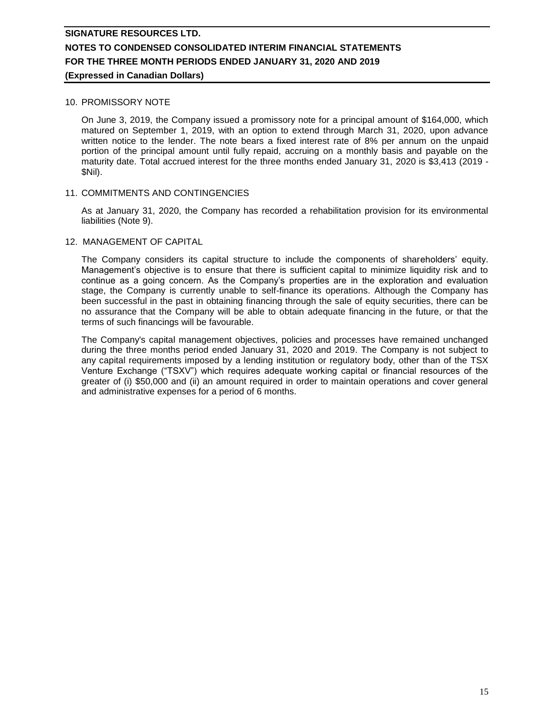# **SIGNATURE RESOURCES LTD. NOTES TO CONDENSED CONSOLIDATED INTERIM FINANCIAL STATEMENTS FOR THE THREE MONTH PERIODS ENDED JANUARY 31, 2020 AND 2019**

# **(Expressed in Canadian Dollars)**

### 10. PROMISSORY NOTE

On June 3, 2019, the Company issued a promissory note for a principal amount of \$164,000, which matured on September 1, 2019, with an option to extend through March 31, 2020, upon advance written notice to the lender. The note bears a fixed interest rate of 8% per annum on the unpaid portion of the principal amount until fully repaid, accruing on a monthly basis and payable on the maturity date. Total accrued interest for the three months ended January 31, 2020 is \$3,413 (2019 - \$Nil).

### 11. COMMITMENTS AND CONTINGENCIES

As at January 31, 2020, the Company has recorded a rehabilitation provision for its environmental liabilities (Note 9).

### 12. MANAGEMENT OF CAPITAL

The Company considers its capital structure to include the components of shareholders' equity. Management's objective is to ensure that there is sufficient capital to minimize liquidity risk and to continue as a going concern. As the Company's properties are in the exploration and evaluation stage, the Company is currently unable to self-finance its operations. Although the Company has been successful in the past in obtaining financing through the sale of equity securities, there can be no assurance that the Company will be able to obtain adequate financing in the future, or that the terms of such financings will be favourable.

The Company's capital management objectives, policies and processes have remained unchanged during the three months period ended January 31, 2020 and 2019. The Company is not subject to any capital requirements imposed by a lending institution or regulatory body, other than of the TSX Venture Exchange ("TSXV") which requires adequate working capital or financial resources of the greater of (i) \$50,000 and (ii) an amount required in order to maintain operations and cover general and administrative expenses for a period of 6 months.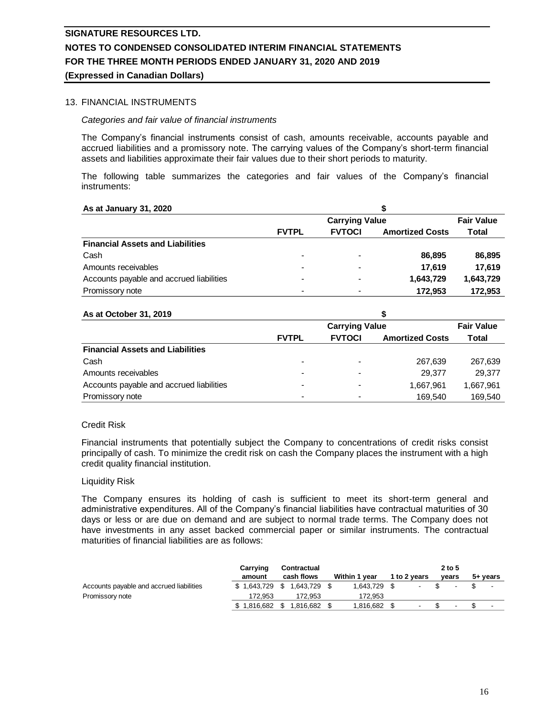# **SIGNATURE RESOURCES LTD. NOTES TO CONDENSED CONSOLIDATED INTERIM FINANCIAL STATEMENTS FOR THE THREE MONTH PERIODS ENDED JANUARY 31, 2020 AND 2019**

### **(Expressed in Canadian Dollars)**

### 13. FINANCIAL INSTRUMENTS

### *Categories and fair value of financial instruments*

The Company's financial instruments consist of cash, amounts receivable, accounts payable and accrued liabilities and a promissory note. The carrying values of the Company's short-term financial assets and liabilities approximate their fair values due to their short periods to maturity.

The following table summarizes the categories and fair values of the Company's financial instruments:

| As at January 31, 2020                   |                          |               |                        |                   |  |
|------------------------------------------|--------------------------|---------------|------------------------|-------------------|--|
|                                          | <b>Carrying Value</b>    |               |                        | <b>Fair Value</b> |  |
|                                          | <b>FVTPL</b>             | <b>FVTOCI</b> | <b>Amortized Costs</b> | Total             |  |
| <b>Financial Assets and Liabilities</b>  |                          |               |                        |                   |  |
| Cash                                     | $\overline{\phantom{0}}$ |               | 86.895                 | 86,895            |  |
| Amounts receivables                      | -                        |               | 17.619                 | 17.619            |  |
| Accounts payable and accrued liabilities |                          |               | 1,643,729              | 1.643.729         |  |
| Promissory note                          |                          |               | 172.953                | 172.953           |  |

### **As at October 31, 2019**

| As at October 31, 2019                   |              |                   |                        |           |  |
|------------------------------------------|--------------|-------------------|------------------------|-----------|--|
|                                          |              | <b>Fair Value</b> |                        |           |  |
|                                          | <b>FVTPL</b> | <b>FVTOCI</b>     | <b>Amortized Costs</b> | Total     |  |
| <b>Financial Assets and Liabilities</b>  |              |                   |                        |           |  |
| Cash                                     |              |                   | 267.639                | 267.639   |  |
| Amounts receivables                      |              |                   | 29.377                 | 29.377    |  |
| Accounts payable and accrued liabilities |              |                   | 1,667,961              | 1.667.961 |  |
| Promissory note                          | -            |                   | 169.540                | 169.540   |  |

### Credit Risk

Financial instruments that potentially subject the Company to concentrations of credit risks consist principally of cash. To minimize the credit risk on cash the Company places the instrument with a high credit quality financial institution.

#### Liquidity Risk

The Company ensures its holding of cash is sufficient to meet its short-term general and administrative expenditures. All of the Company's financial liabilities have contractual maturities of 30 days or less or are due on demand and are subject to normal trade terms. The Company does not have investments in any asset backed commercial paper or similar instruments. The contractual maturities of financial liabilities are as follows:

|                                          | Carrving<br>amount | Contractual<br>cash flows     | <b>Within 1 year</b> | 1 to 2 years | 2 to 5<br>vears | 5+ vears                 |
|------------------------------------------|--------------------|-------------------------------|----------------------|--------------|-----------------|--------------------------|
| Accounts payable and accrued liabilities | \$1.643.729        | 1.643.729 \$<br>- \$          | 1.643.729 \$         |              |                 | $\overline{\phantom{a}}$ |
| Promissory note                          | 172.953            | 172.953                       | 172.953              |              |                 |                          |
|                                          |                    | $$1,816,682$ $$1,816,682$ $$$ | 1,816,682 \$         |              | ۰.              | $\overline{\phantom{a}}$ |